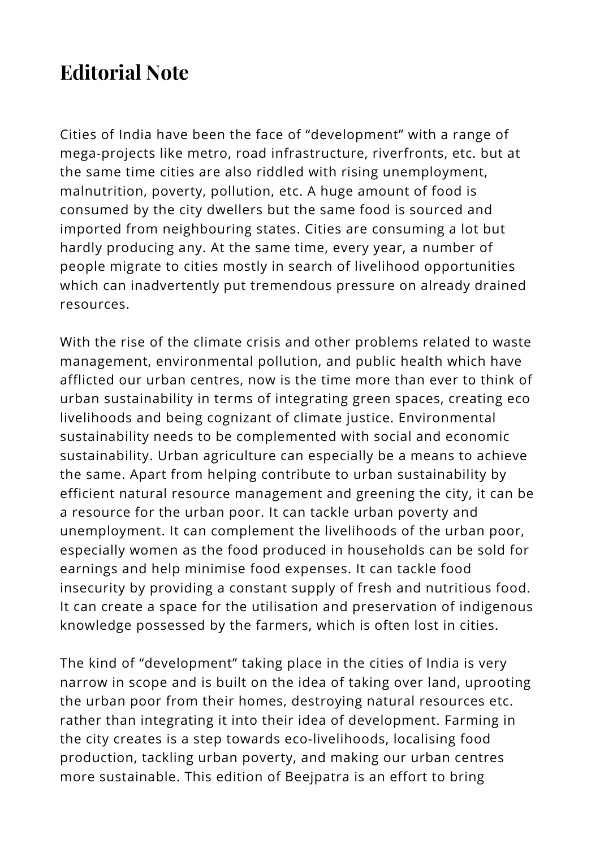## **Editorial Note**

Cities of India have been the face of "development" with a range of mega-projects like metro, road infrastructure, riverfronts, etc. but at the same time cities are also riddled with rising unemployment, malnutrition, poverty, pollution, etc. A huge amount of food is consumed by the city dwellers but the same food is sourced and imported from neighbouring states. Cities are consuming a lot but hardly producing any. At the same time, every year, a number of people migrate to cities mostly in search of livelihood opportunities which can inadvertently put tremendous pressure on already drained resources.

With the rise of the climate crisis and other problems related to waste management, environmental pollution, and public health which have afflicted our urban centres, now is the time more than ever to think of urban sustainability in terms of integrating green spaces, creating eco livelihoods and being cognizant of climate justice. Environmental sustainability needs to be complemented with social and economic sustainability. Urban agriculture can especially be a means to achieve the same. Apart from helping contribute to urban sustainability by efficient natural resource management and greening the city, it can be a resource for the urban poor. It can tackle urban poverty and unemployment. It can complement the livelihoods of the urban poor, especially women as the food produced in households can be sold for earnings and help minimise food expenses. It can tackle food insecurity by providing a constant supply of fresh and nutritious food. It can create a space for the utilisation and preservation of indigenous knowledge possessed by the farmers, which is often lost in cities.

The kind of "development" taking place in the cities of India is very narrow in scope and is built on the idea of taking over land, uprooting the urban poor from their homes, destroying natural resources etc. rather than integrating it into their idea of development. Farming in the city creates is a step towards eco-livelihoods, localising food production, tackling urban poverty, and making our urban centres more sustainable. This edition of Beejpatra is an effort to bring